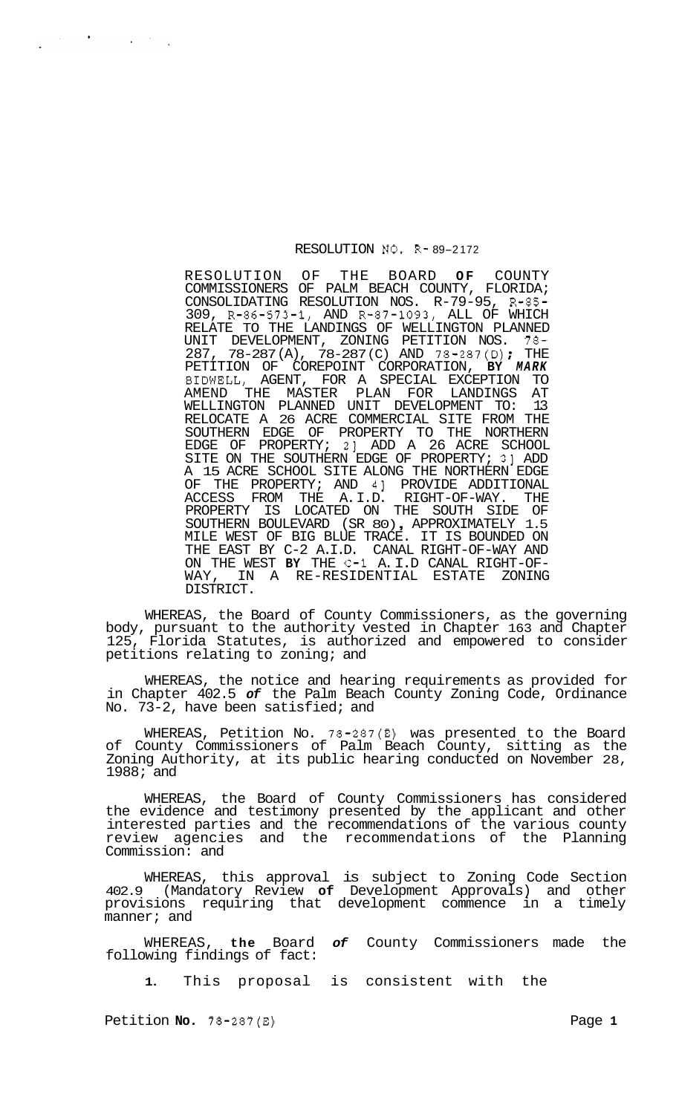## RESOLUTION NO. R- 89-2 172

RESOLUTION OF THE BOARD **OF** COUNTY COMMISSIONERS OF PALM BEACH COUNTY, FLORIDA; CONSOLIDATING RESOLUTION NOS. R-79-95, R-85- 309, R-86-573-1, AND R-87-1093, ALL OF WHICH RELATE TO THE LANDINGS OF WELLINGTON PLANNED UNIT DEVELOPMENT, ZONING PETITION NOS. 78- 287, 78-287 (A), 78-287 (C) AND 78-287(D) ; THE PETITION OF COREPOINT CORPORATION, **BY** *MARK*  BIDWELL, AGENT, FOR A SPECIAL EXCEPTION TO AMEND THE MASTER PLAN FOR LANDINGS AT WELLINGTON PLANNED UNIT DEVELOPMENT TO: 13 RELOCATE A 26 ACRE COMMERCIAL SITE FROM THE SOUTHERN EDGE OF PROPERTY TO THE NORTHERN EDGE OF PROPERTY; 21 ADD A 26 ACRE SCHOOL SITE ON THE SOUTHERN EDGE OF PROPERTY; 31 ADD A 15 ACRE SCHOOL SITE ALONG THE NORTHERN EDGE OF THE PROPERTY; AND 41 PROVIDE ADDITIONAL ACCESS FROM THE A. I. D. RIGHT-OF-WAY. THE PROPERTY IS LOCATED ON THE SOUTH SIDE OF SOUTHERN BOULEVARD (SR 80) , APPROXIMATELY 1.5 MILE WEST OF BIG BLUE TRACE. IT IS BOUNDED ON THE EAST BY C-2 A.I.D. CANAL RIGHT-OF-WAY AND ON THE WEST **BY** THE C-1 A. I. D CANAL RIGHT-OF- WAY, IN A RE-RESIDENTIAL ESTATE ZONING DISTRICT.

WHEREAS, the Board of County Commissioners, as the governing body, pursuant to the authority vested in Chapter 163 and Chapter 125, Florida Statutes, is authorized and empowered to consider petitions relating to zoning; and

WHEREAS, the notice and hearing requirements as provided for in Chapter 402.5 *of* the Palm Beach County Zoning Code, Ordinance No. 73-2, have been satisfied; and

WHEREAS, Petition No. 78-287(E) was presented to the Board of County Commissioners of Palm Beach County, sitting as the Zoning Authority, at its public hearing conducted on November 28, 1988; and

WHEREAS, the Board of County Commissioners has considered the evidence and testimony presented by the applicant and other interested parties and the recommendations of the various county review agencies and the recommendations of the Planning Commission: and

WHEREAS, this approval is subject to Zoning Code Section 402.9 (Mandatory Review **of** Development Approvals) and other provisions requiring that development commence in a timely manner; and

of County Commissioners made the WHEREAS, the Board<br>following findings of fact:

**1.** This proposal is consistent with the

Petition **No.**  $78-287(E)$  Page 1

 $\label{eq:2.1} \frac{1}{2} \left( \frac{1}{2} \left( \frac{1}{2} \right) \right) \left( \frac{1}{2} \left( \frac{1}{2} \right) \right) \left( \frac{1}{2} \left( \frac{1}{2} \right) \right) \left( \frac{1}{2} \right) \left( \frac{1}{2} \right) \left( \frac{1}{2} \right) \left( \frac{1}{2} \right) \left( \frac{1}{2} \right) \left( \frac{1}{2} \right) \left( \frac{1}{2} \right) \left( \frac{1}{2} \right) \left( \frac{1}{2} \right) \left( \frac{1}{2$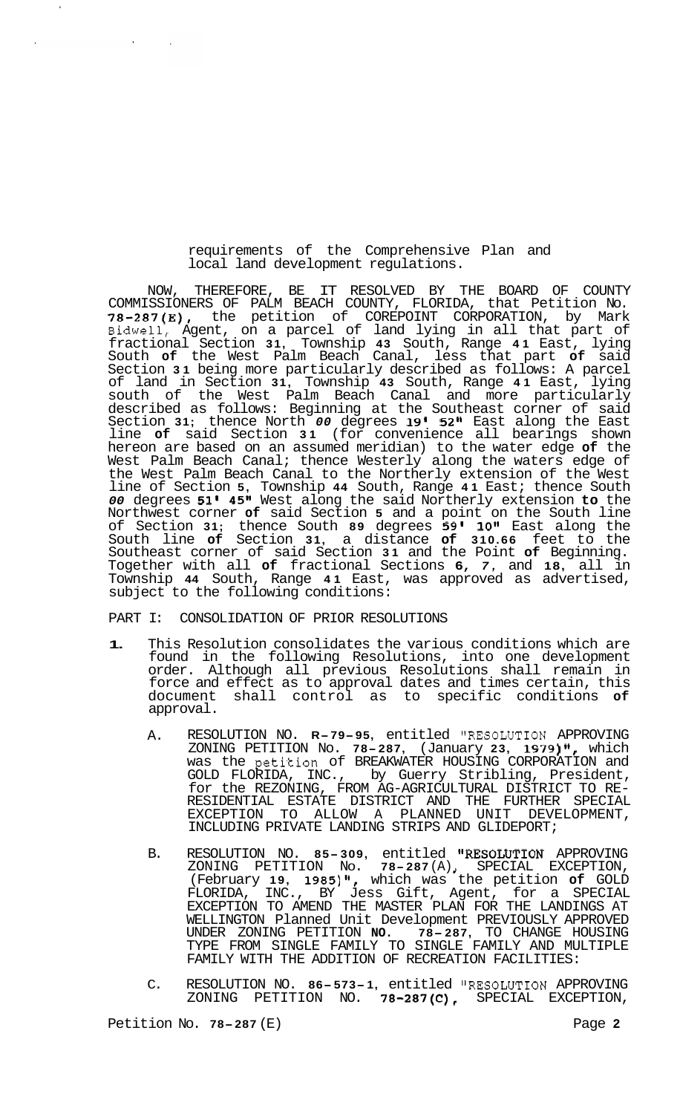## requirements of the Comprehensive Plan and local land development regulations.

NOW, THEREFORE, BE IT RESOLVED BY THE BOARD OF COUNTY COMMISSIONERS OF PALM BEACH COUNTY, FLORIDA, that Petition No. **78-287(E),** the petition of COREPOINT CORPORATION, by Mark Bidwell, Agent, on a parcel of land lying in all that part of fractional Section **31,** Township **43** South, Range **41** East, lying South **of** the West Palm Beach Canal, less that part **of** said Section **31** being more particularly described as follows: A parcel of land in Section **31,** Township **43** South, Range **41** East, lying south of the West Palm Beach Canal and more particularly described as follows: Beginning at the Southeast corner of said Section **31;** thence North *00* degrees **19' 52"** East along the East line **of** said Section **31** (for convenience all bearings shown hereon are based on an assumed meridian) to the water edge **of** the West Palm Beach Canal; thence Westerly along the waters edge of the West Palm Beach Canal to the Northerly extension of the West line of Section **5,** Township **44** South, Range **41** East; thence South *00* degrees **51' 45"** West along the said Northerly extension **to** the Northwest corner **of** said Section **5** and a point on the South line of Section **31;** thence South **89** degrees **59l 10"** East along the South line **of** Section **31,** a distance **of 310.66** feet to the Southeast corner of said Section **31** and the Point **of** Beginning. Together with all **of** fractional Sections **6,** *7,* and **18,** all in Township **44** South, Range **41** East, was approved as advertised, subject to the following conditions:

PART I: CONSOLIDATION OF PRIOR RESOLUTIONS

- **1.** This Resolution consolidates the various conditions which are found in the following Resolutions, into one development order. Although all previous Resolutions shall remain in force and effect as to approval dates and times certain, this document shall control as to specific conditions **of**  approval.
	- A. RESOLUTION NO. **R-79-95**, entitled "RESOLUTION APPROVING ZONING PETITION No. **78-287,** (January **23, 1S79) It,** which was the petition of BREAKWATER HOUSING CORPORATION and GOLD FLORIDA, INC., by Guerry Stribling, President, for the REZONING, FROM AG-AGRICULTURAL DISTRICT TO RE- RESIDENTIAL ESTATE DISTRICT AND THE FURTHER SPECIAL EXCEPTION TO ALLOW A PLANNED UNIT DEVELOPMENT, INCLUDING PRIVATE LANDING STRIPS AND GLIDEPORT;
	- B. RESOLUTION NO. **85- 309,** entitled tlRESOLUTION APPROVING (February **19, 1985)11,** which was the petition **of** GOLD FLORIDA, INC., BY Jess Gift, Agent, for a SPECIAL EXCEPTION TO AMEND THE MASTER PLAN FOR THE LANDINGS AT WELLINGTON Planned Unit Development PREVIOUSLY APPROVED UNDER ZONING PETITION **NO. 78- 287,** TO CHANGE HOUSING TYPE FROM SINGLE FAMILY TO SINGLE FAMILY AND MULTIPLE FAMILY WITH THE ADDITION OF RECREATION FACILITIES: ZONING PETITION NO. **78-287** (A) SPECIAL EXCEPTION,
	- C. RESOLUTION NO. 86-573-1, entitled "RESOLUTION APPROVING ZONING PETITION NO. **78-287(C),** SPECIAL EXCEPTION,

 $\sim 10^{-10}$ 

 $\sim 10^7$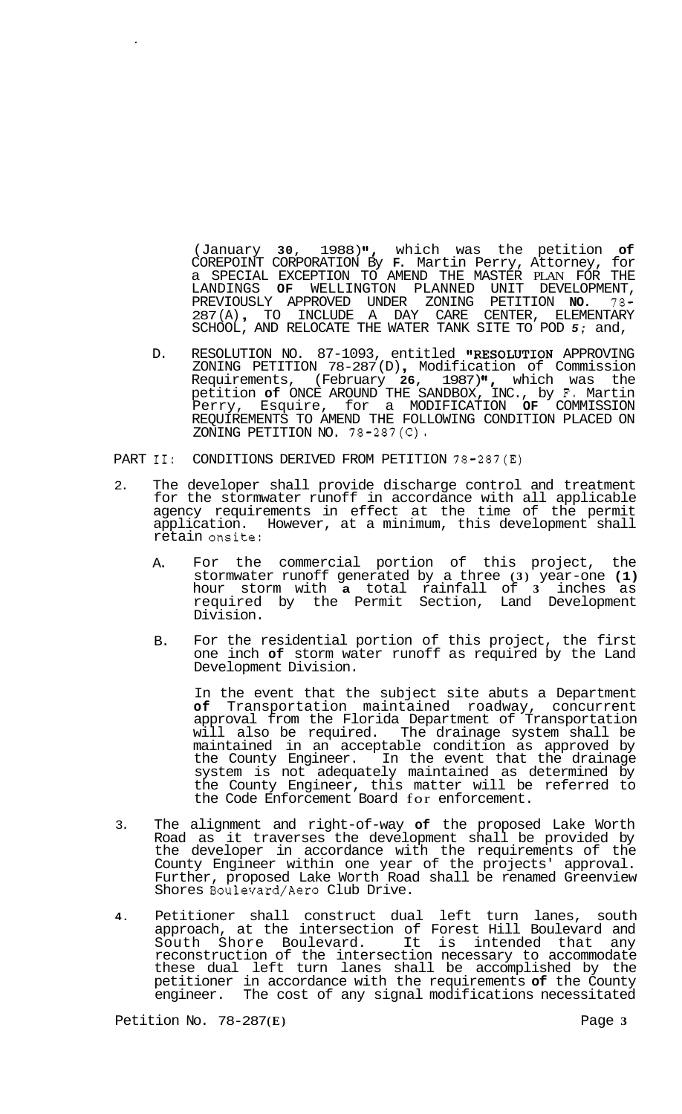(January **30,** 1988) **'I,** which was the petition **of**  COREPOINT CORPORATION By **F.** Martin Perry, Attorney, for a SPECIAL EXCEPTION TO AMEND THE MASTER PLAN FOR THE LANDINGS **OF** WELLINGTON PLANNED UNIT DEVELOPMENT, PREVIOUSLY APPROVED UNDER ZONING PETITION **NO.** 78- 287 (A) , TO INCLUDE A DAY CARE CENTER, ELEMENTARY SCHOOL, AND RELOCATE THE WATER TANK SITE TO POD *5;* and,

- D. RESOLUTION NO. 87-1093, entitled **"RESOLUTION** APPROVING<br>ZONING PETITION 78-287(D), Modification of Commission Requirements, (February **26,** 1987) **'I,** which was the petition **of** ONCE AROUND THE SANDBOX, INC., by **F.** Martin Perry, Esquire, for a MODIFICATION **OF** COMMISSION REQUIREMENTS TO AMEND THE FOLLOWING CONDITION PLACED ON ZONING PETITION NO. 78-287(C).
- PART II: CONDITIONS DERIVED FROM PETITION 78-287(E)
- 2. The developer shall provide discharge control and treatment for the stormwater runoff in accordance with all applicable agency requirements in effect at the time of the permit application. However, at a minimum, this development shall retain onsite:
	- A. For the commercial portion of this project, the stormwater runoff generated by a three **(3)** year-one **(1)**  hour storm with **a** total rainfall of **3** inches as required by the Permit Section, Land Development Division.
	- B. For the residential portion of this project, the first one inch **of** storm water runoff as required by the Land Development Division.

In the event that the subject site abuts a Department **of** Transportation maintained roadway, concurrent approval from the Florida Department of Transportation will also be required. The drainage system shall be maintained in an acceptable condition as approved by the County Engineer. In the event that the drainage system is not adequately maintained as determined by the County Engineer, this matter will be referred to the Code Enforcement Board for enforcement.

- 3. The alignment and right-of-way **of** the proposed Lake Worth Road as it traverses the development shall be provided by the developer in accordance with the requirements of the County Engineer within one year of the projects' approval. Further, proposed Lake Worth Road shall be renamed Greenview Shores Boulevard/Aero Club Drive.
- **4.** Petitioner shall construct dual left turn lanes, south approach, at the intersection of Forest Hill Boulevard and South Shore Boulevard. It is intended that any reconstruction of the intersection necessary to accommodate these dual left turn lanes shall be accomplished by the petitioner in accordance with the requirements **of** the County The cost of any signal modifications necessitated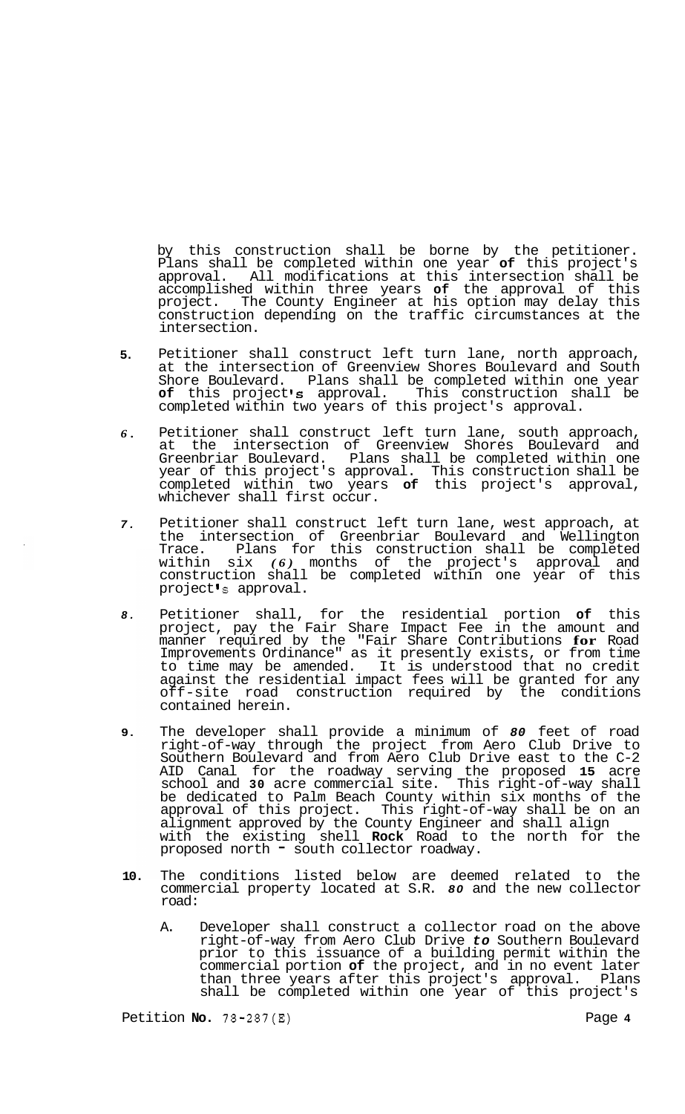by this construction shall be borne by the petitioner. Plans shall be completed within one year **of** this project's approval. All modifications at this intersection shall be accomplished within three years **of** the approval of this project. The County Engineer at his option may delay this construction depending on the traffic circumstances at the intersection.

- **5.**  Petitioner shall construct left turn lane, north approach, at the intersection of Greenview Shores Boulevard and South Shore Boulevard. Plans shall be completed within one year **of** this project **Is** approval. This construction shall be completed within two years of this project's approval.
- *6.*  Petitioner shall construct left turn lane, south approach, at the intersection of Greenview Shores Boulevard and<br>Greenbriar Boulevard. Plans shall be completed within one Plans shall be completed within one year of this project's approval. This construction shall be completed within two years **of** this project's approval, whichever shall first occur.
- *7.*  Petitioner shall construct left turn lane, west approach, at the intersection of Greenbriar Boulevard and Wellington Trace. Plans for this construction shall be completed within six *(6)* months of the project's approval and construction shall be completed within one year of this project *s* approval.
- *8.*  Petitioner shall, for the residential portion **of** this project, pay the Fair Share Impact Fee in the amount and manner required by the "Fair Share Contributions **for** Road Improvements Ordinance" as it presently exists, or from time to time may be amended. It is understood that no credit against the residential impact fees will be granted for any off-site road construction required by the conditions contained herein.
- **9.**  The developer shall provide a minimum of *80* feet of road right-of-way through the project from Aero Club Drive to Southern Boulevard and from Aero Club Drive east to the C-2 AID Canal for the roadway serving the proposed **15** acre school and **30** acre commercial site. This right-of-way shall be dedicated to Palm Beach County within six months of the approval of this project. This right-of-way shall be on an alignment approved by the County Engineer and shall align with the existing shell **Rock** Road to the north for the proposed north - south collector roadway.
- **10.**  The conditions listed below are deemed related to the commercial property located at S.R. *80* and the new collector road:
	- A. Developer shall construct a collector road on the above right-of-way from Aero Club Drive *to* Southern Boulevard prior to this issuance of a building permit within the -<br>commercial portion **of** the project, and in no event later<br>than three years after this project's approval. Plans than three years after this project's approval. shall be completed within one year of this project's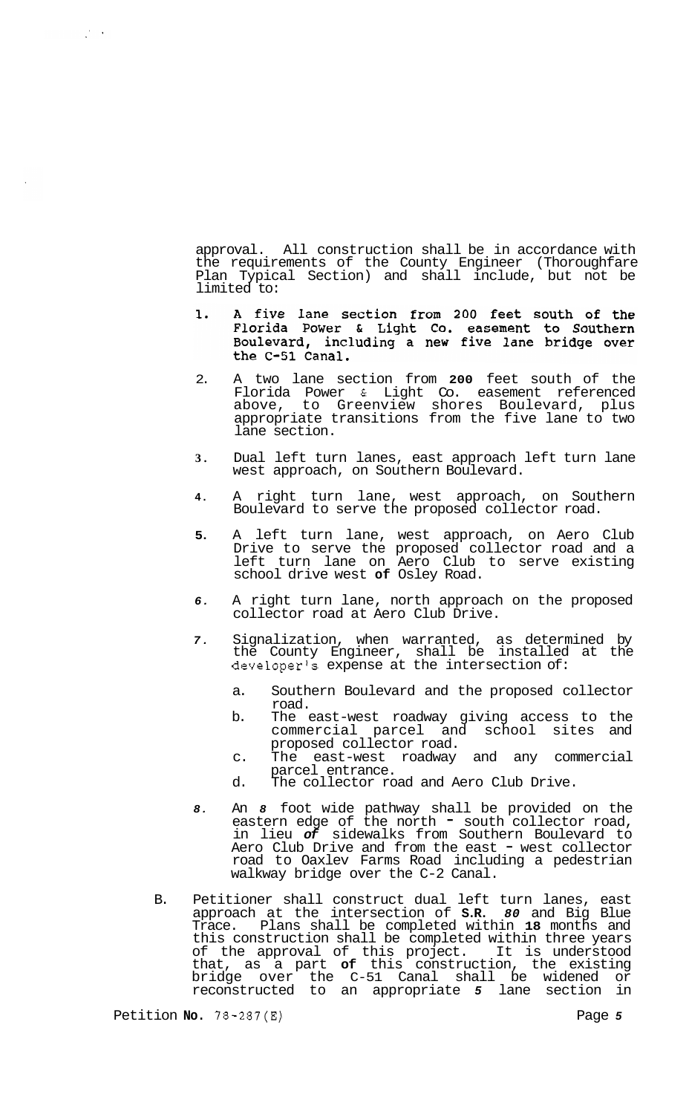approval. All construction shall be in accordance with the requirements of the County Engineer (Thoroughfare Plan Typical Section) and shall include, but not be limited to:

- A five lane section from 200 feet south of the 1. Florida Power & Light Co. easement to Southern Boulevard, including a new five lane bridge over the C-51 Canal.
- 2. A two lane section from **200** feet south of the Florida Power & Light Co. easement referenced above, to Greenview shores Boulevard, plus appropriate transitions from the five lane to two lane section.
- **3.** Dual left turn lanes, east approach left turn lane west approach, on Southern Boulevard.
- **4.** A right turn lane, west approach, on Southern Boulevard to serve the proposed collector road.
- **5.** A left turn lane, west approach, on Aero Club Drive to serve the proposed collector road and a left turn lane on Aero Club to serve existing school drive west **of** Osley Road.
- *6.* A right turn lane, north approach on the proposed collector road at Aero Club Drive.
- *7.* Signalization, when warranted, as determined by the County Engineer, shall be installed at the developer's expense at the intersection of:
	- a. Southern Boulevard and the proposed collector road.
	- b. The east-west roadway giving access to the commercial parcel and school sites and proposed collector road.
	- c. The east-west roadway and any commercial parcel entrance.
	- d. The collector road and Aero Club Drive.
- *8.* An *8* foot wide pathway shall be provided on the eastern edge of the north south collector road, in lieu *of* sidewalks from Southern Boulevard to Aero Club Drive and from the east - west collector road to Oaxlev Farms Road including a pedestrian walkway bridge over the C-2 Canal.
- B. Petitioner shall construct dual left turn lanes, east approach at the intersection of **S.R.** *80* and Big Blue Trace. Plans shall be completed within **18** months and this construction shall be completed within three years of the approval of this project. It is understood that, as a part **of** this construction, the existing bridge over the C-51 Canal shall be widened or reconstructed to an appropriate *5* lane section in

 $\frac{1}{2}$  ,  $\frac{1}{2}$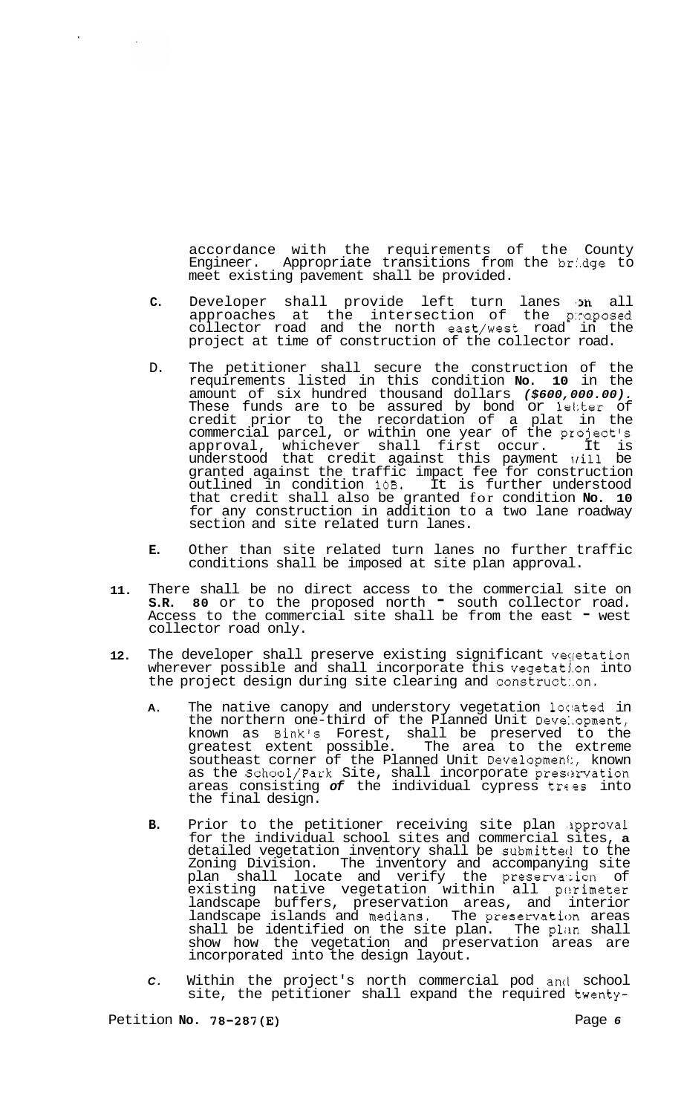accordance with the requirements of the County<br>Engineer. Appropriate transitions from the bridge to Appropriate transitions from the bridge to meet existing pavement shall be provided.

- **C.** Developer shall provide left turn lanes 'm all approaches at the intersection of the p:raposed collector road and the north east/west road in the project at time of construction of the collector road.
- D. The petitioner shall secure the construction of the requirements listed in this condition **No. 10** in the amount of six hundred thousand dollars *(\$600,000.00).*  These funds are to be assured by bond or 1ei:ter of credit prior to the recordation of a plat in the commercial parcel, or within one year of the project's approval, whichever shall first occur. It is understood that credit against this payment xrill be granted against the traffic impact fee for construction outlined in condition **10B.** It is further understood that credit shall also be granted for condition **No. 10**  for any construction in addition to a two lane roadway section and site related turn lanes.
- **E.** Other than site related turn lanes no further traffic conditions shall be imposed at site plan approval.
- **11.**  There shall be no direct access to the commercial site on **S.R. 80** or to the proposed north - south collector road. Access to the commercial site shall be from the east " west collector road only.
- **12.**  The developer shall preserve existing significant vegetation wherever possible and shall incorporate this vegetation into the project design during site clearing and construct:.on.
	- A. The native canopy and understory vegetation located in the northern one-third of the Planned Unit Deve:.opment, known as Bink's Forest, shall be preserved to the<br>greatest extent possible. The area to the extreme greatest extent possible. The area to the extreme southeast corner of the Planned Unit Developmenl:, known as the School/Park Site, shall incorporate preservation areas consisting of the individual cypress trees into the final design.
	- **B.** Prior to the petitioner receiving site plan .3pproval for the individual school sites and commercial sites, **a**  detailed vegetation inventory shall be submitteci to the Zoning Division. The inventory and accompanying site plan shall locate and verify the preservation of existing native vegetation within all perimeter landscape buffers, preservation areas, and interior landscape islands and medians. The preservation areas shall be identified on the site plan. The plan shall show how the vegetation and preservation areas are incorporated into the design layout.
	- *C.* Within the project's north commercial pod ancl school site, the petitioner shall expand the required twenty-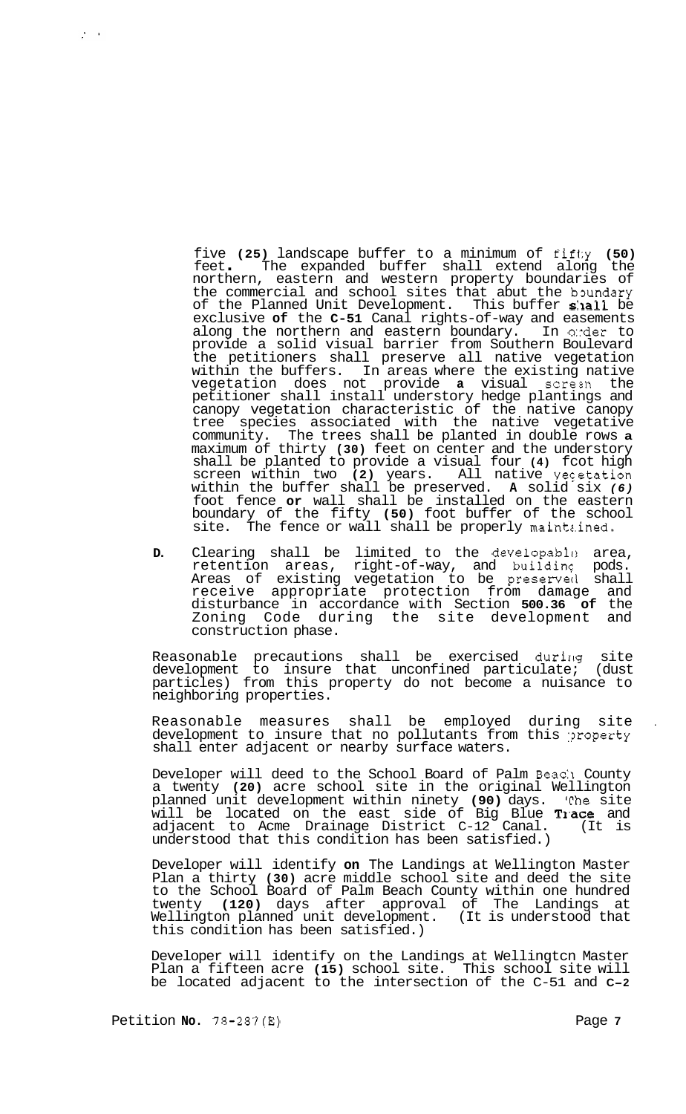five **(25)** landscape buffer to a minimum of fif1:y **(50)**  feet . The expanded buffer shall extend along the northern, eastern and western property boundaries of the commercial and school sites that abut the boundary of the Planned Unit Development. This buffer shall be exclusive **of** the **C-51** Canal rights-of-way and easements along the northern and eastern boundary. provide a solid visual barrier from Southern Boulevard the petitioners shall preserve all native vegetation within the buffers. In areas where the existing native vegetation does not provide **a** visual screzn the petitioner shall install understory hedge plantings and canopy vegetation characteristic of the native canopy tree species associated with the native vegetative community. The trees shall be planted in double rows **a**  maximum of thirty **(30)** feet on center and the understory shall be planted to provide a visual four **(4)** fcot high screen within two (2) years. All native vectation within the buffer shall be preserved. **A** solid six *(6)*  foot fence **or** wall shall be installed on the eastern boundary of the fifty **(50)** foot buffer of the school site. The fence or wall shall be properly maintz.ined.

**D.** Clearing shall be limited to the developable area,<br>retention areas, right-of-way, and building pods. retention areas, right-of-way, and buildinc pods. Areas of existing vegetation to be preserved shall receive appropriate protection from damage and disturbance in accordance with Section **500.36 of** the Zoning Code during the site development and construction phase.

Reasonable precautions shall be exercised during site development to insure that unconfined particulate; (dust particles) from this property do not become a nuisance to neighboring properties.

Reasonable measures shall be employed during site . development to insure that no pollutants from this :?roperty shall enter adjacent or nearby surface waters.

Developer will deed to the School Board of Palm Beach County a twenty **(20)** acre school site in the original Wellington planned unit development within ninety **(90)** days. 'rhe site will be located on the east side of Big Blue **Trace** and adjacent to Acme Drainage District C-12 Canal. (It is understood that this condition has been satisfied.)

Developer will identify **on** The Landings at Wellington Master Plan a thirty **(30)** acre middle school site and deed the site to the School Board of Palm Beach County within one hundred twenty **(120)** days after approval of The Landings at Wellington planned unit development. (It is understood that this condition has been satisfied.)

Developer will identify on the Landings at Wellingtcn Master Plan a fifteen acre **(15)** school site. This school site will be located adjacent to the intersection of the C-51 and **C-2** 

 $\frac{1}{2}$  ,  $\frac{1}{2}$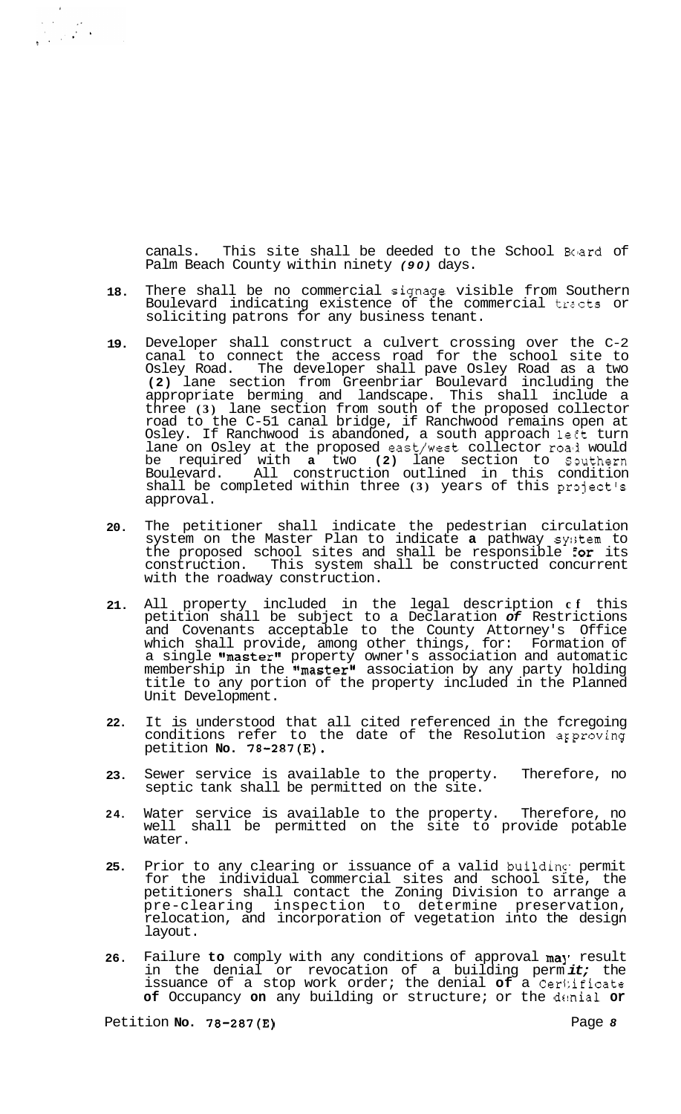canals. This site shall be deeded to the School Board of Palm Beach County within ninety *(90)* days.

- **18.**  There shall be no commercial signage visible from Southern Boulevard indicating existence of the commercial tracts or soliciting patrons for any business tenant.
- **19.**  Developer shall construct a culvert crossing over the C-2 canal to connect the access road for the school site to Osley Road. The developer shall pave Osley Road as a two **(2)** lane section from Greenbriar Boulevard including the appropriate berming and landscape. This shall include a three **(3)** lane section from south of the proposed collector road to the C-51 canal bridge, if Ranchwood remains open at Osley. If Ranchwood is abandoned, a south approach left turn lane on Osley at the proposed east/west collector roa'i would be required with a two (2) lane section to Southern Boulevard. All construction outlined in this condition shall be completed within three (3) years of this project's approval.
- **20.**  The petitioner shall indicate the pedestrian circulation system on the Master Plan to indicate **a** pathway sy:;tem to the proposed school sites and shall be responsible for its construction. This system shall be constructed concurrent with the roadway construction.
- **21.**  All property included in the legal description **cf** this petition shall be subject to a Declaration *of* Restrictions and Covenants acceptable to the County Attorney's Office which shall provide, among other things, for: Formation of a single "master" property owner's association and automatic membership in the **"master"** association by any party holding title to any portion of the property included in the Planned Unit Development.
- **22.**  It is understood that all cited referenced in the fcregoing conditions refer to the date of the Resolution arproving petition **No. 78-287(E).**
- **23.**  Sewer service is available to the property. Therefore, no septic tank shall be permitted on the site.
- **24.**  Water service is available to the property. Therefore, no well shall be permitted on the site to provide potable water.
- **25.**  Prior to any clearing or issuance of a valid building permit for the individual commercial sites and school site, the petitioners shall contact the Zoning Division to arrange a pre-clearing inspection to determine preservation, relocation, and incorporation of vegetation into the design layout.
- **26.**  Failure to comply with any conditions of approval may result in the denial or revocation of a building perm *it;* the issuance of a stop work order; the denial **of** a Ceri:ificate of Occupancy on any building or structure; or the denial or

Petition **No. 78-287(E)** Page *8*